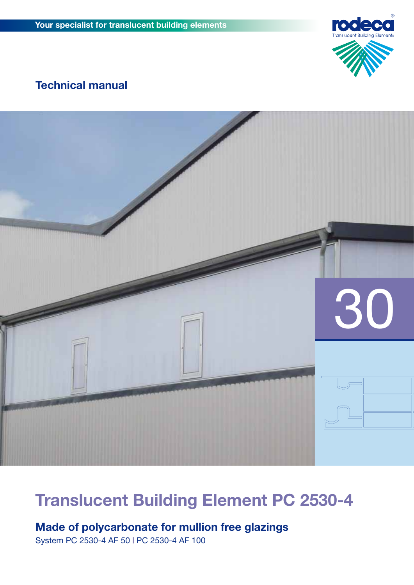

## **Technical manual**



## **Translucent Building Element PC 2530-4**

**Made of polycarbonate for mullion free glazings**

System PC 2530-4 AF 50 **|** PC 2530-4 AF 100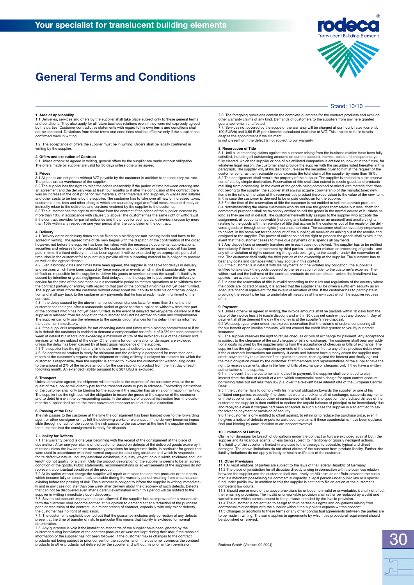## **General Terms and Conditions**



Stand: 10/10 ·

#### **1. Area of Applicability**

1.1 Deliveries, services and offers by the supplier shall take place subject only to these general terms and conditions. They also apply for all future business relations even if they were not expressly agreed<br>by the parties. Customer contradictive statements with regard to his own terms and conditions shall<br>not be accepted. ned them in writing.

1.2. The acceptance of offers the supplier must be in writing. Orders shall be legally confirmed in writing by the supplier

#### **2. Offers and execution of Contract**

2.1 Unless otherwise agreed in writing, general offers by the supplier are made without obligation. The offers made by supplier are valid for 30 days unless otherwise agreed.

**3. Prices** 3.1 All prices are net prices without VAT payable by the customer in addition to the statutory tax rate.

The prices are ex warehouse of the supplier.<br>The prices are ex warehouse of the supplier has the regionally if the period of time between entering into<br>an agreement and the delivery was at least four months or if after the more than 10% in accordance with clause 3.2 above. The customer has the same right of withdrawal if the contract provides for partial deliveries and the prices for such partial deliveries increase by more than 10% within any respective one year period after the conclusion of the contract.

4. Delivery dates or delivery times can be fixed on a binding nor non-binding basis and have to be agreed in writing. The agreed time of delivery begins with the dispatch of the confirmation of the order, however, not befo

difficult or impossible for the supplier to deliver his goods or services unless the supplier's liability is<br>caused by intention or gross negligence. Said delays entitle the supplier to postpone the delivery or<br>service for contract.

4.3 If the delay caused by the above-mentioned circumstances lasts for more than 3 months the customer has the right, after a reasonable period of grace for the supplier, to withdraw from that part<br>of the contract which has not yet been fulfilled. In the event of delayed delivery/partial delivery or if the<br>supplier

week of default that in total not exceeding a maximum of 5% of the invoiced value of the delivery and severices which are subject of the delay. Other claims for compensation or damages are excluded unless the delay has bee

to the amount of 2% of the invoice amount for the corresponding product from the first day of each following month. An extended liability pursuant to § 287 BGB is excluded.

#### **5. Transport**

Unless otherwise agreed, the shipment will be made at the expense of the customer who, at the re-<br>quest of the supplier, will directly pay for the transport costs or pay in advance. Forwarding instructions<br>of the customer and to debit him with the corresponding costs. In the absence of a special instruction from the custo-mer the supplier shall select the most convenient transport route at his due discretion.

**6. Passing of the Risk** The risk passes to the customer at the time the consignment has been handed over to the forwarding<br>agent or other consignor or has left the delivering works or warehouse. If the delivery becomes impos-<br>sible through no fau the customer that the consignment is ready for dispatch.

### **7. Liability for Defects**

7.1 The warranty period is one year beginning with the receipt of the consignment at the place of<br>destination. After one year claims of the customer based on defects of the delivered goods expire<br>mitation unless the law co

ly and in any case not later than one week after delivery about the discovery of such defects. Defects<br>that can not be discovered even after a careful examination within this period will be notified to the

supplier in writing immediately upon discovery.<br>7.3. Several subsequent improvements are allowed. If the supplier fails to improve after a reasonable<br>term the customer shall become entitled at his opinion to demand either the customer has no right of rescission.

7.4. The customer is explicitly pointed out that the guarantee includes only correction of any defects present at the time of transfer of risk. In particular this means that liability is excluded for normal

deterioration.<br>T.5. Any guarantee is void if the installation standards of the supplier have been ignored by the<br>Customer during installation of the contract products or were not kept during their use; if the technical<br>inf

7.6. The foregoing provisions contain the complete guarantee for the contract products and exclude other warranty claims of any kind. Demands of customers to the suppliers from any here granted

guarantee remain unaffected.<br>7.7. Services not covered by the scope of the warranty will be charged at our hourly rates (currently<br>100 EUR/h) and 0,55 EUR per kilometre calculated exclusive of VAT. This applies to futile t

#### **8. Reservation of Title**

8.1 Until all outstanding claims against the customer arising from the business relation have been fully satisfied, including all outstanding amounts on current account, interest, costs and cheques not yet<br>fully cleared, which the supplier or one of his affiliated companies is entitled to, now or in the future, for<br>whatever l

resulting from processing. In the event of the goods being combined or mixed with material that does<br>not belong to the supplier, the supplier shall always acquire coovnership of the manufactured new<br>items in the ratio of t

immediately if there is an attachment by third parties - also after mixture or processing of goods - and any other violation of rights concerning the goods belonging to the supplier under the reservation of<br>title. The cust

withdrawal and the bailment of the contract products do not constitute - unless the Installment law applies – an avoidance of contract.

8.7 In case the reservation of title is invalid according to the rules and regulations of the country where<br>the goods are located or used, it is agreed that the supplier shall be given a sufficient security as an<br>adequate of him.

**9. Payment**<br>cate of the mixtos agreed in writing, the invoice amounts shall be payable within 10 days from the<br>cate of the invoice less 2% (cash) discount and within 30 days net cash without any discount. Day of<br>payment s

insurance.

9.3 The supplier reserves the right to refuse cheques or bills of exchange for payment. Any acceptance is subject to the clearance of the said cheques or bills of exchange. The customer shall bear any additional costs incurred by the supplier arising from the acceptance of cheques or bills of exchange. The supplier has the right to receive payments, also in the form of bills of exchange or cheques, only if they have a written authorization of the supplier.

9.4 In the event that the customer is in default in payment, the supplier shall be entitled to claim<br>interest from the date of default at a rate which commercial banks charge for open current account<br>borrowing rates but no Bank. 9.5 If the customer fails to comply with his financial obligation towards the supplier or one of his

affiliated companies, especially if he does not clear a check or a bill of exchange, suspends payments or if the supplier learns about other circumstances which call into question the creditworthiness of the

customer, the supplier is then entitled to declare the unpaid balance of principal to be immediately due<br>and repayable even if cheques had been accepted. In such a case the supplier is also entitled to ask<br>for advance paym

#### **10. Limitation of Liability**

Claims for damages for breach of obligations under the contract or tort are excluded against both the supplier and its vicarious agents, unless being subject to intentional or grossly negligent actions. The liability of th

#### **11. Other Provisions**

11.1 All legal relations of parties are subject to the laws of the Federal Republic of Germany.<br>11.2 The place of jurisdiction for all disputes directly arising in connection with the business relation<br>between the supplier competent law courts.

11.3 Should one or more of the above provisions be or become invalid or unworkable, it shall not affect the remaining provisions. The invalid or unworkable provision shall rather be replaced by a valid and<br>workable one which comes closest to the purpose intended by the invalid provision.<br>11.4 The customer is not entitled to to be made in writing. The same applies to agreements by which this procedural requirement should be abolished or relieved.

Rodeca GmbH (Version: 09.2004)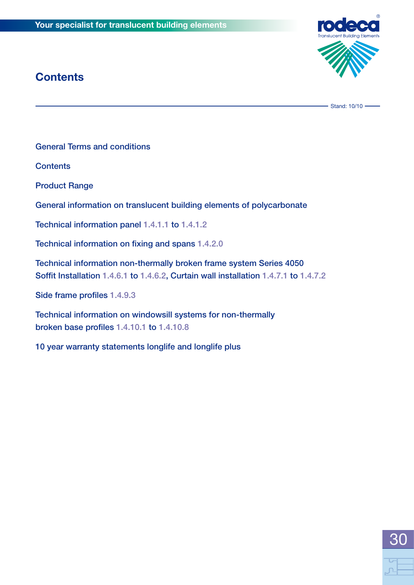## **Contents**



Stand: 10/10 -

General Terms and conditions

**Contents** 

Product Range

General information on translucent building elements of polycarbonate

Technical information panel 1.4.1.1 to 1.4.1.2

Technical information on fixing and spans 1.4.2.0

Technical information non-thermally broken frame system Series 4050 Soffit Installation 1.4.6.1 to 1.4.6.2, Curtain wall installation 1.4.7.1 to 1.4.7.2

Side frame profiles 1.4.9.3

Technical information on windowsill systems for non-thermally broken base profiles 1.4.10.1 to 1.4.10.8

10 year warranty statements longlife and longlife plus

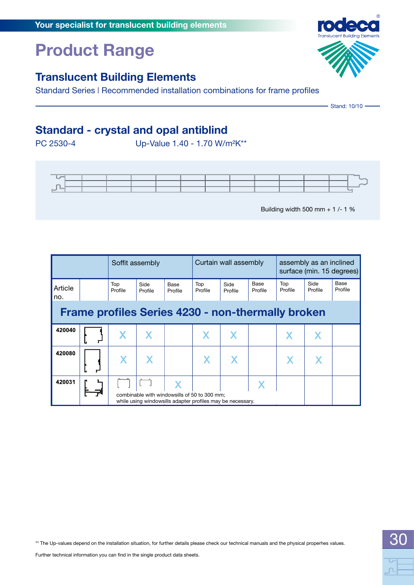## **Product Range**

### **Translucent Building Elements**

Standard Series **|** Recommended installation combinations for frame profiles

## **Standard - crystal and opal antiblind**

PC 2530-4 Up-Value 1.40 - 1.70 W/m²K\*\*



Building width 500 mm + 1 /- 1 %

|                                                          |  | Soffit assembly |                 |                 | Curtain wall assembly                                                                                      |                 |                        | assembly as an inclined<br>surface (min. 15 degrees) |                 |                 |
|----------------------------------------------------------|--|-----------------|-----------------|-----------------|------------------------------------------------------------------------------------------------------------|-----------------|------------------------|------------------------------------------------------|-----------------|-----------------|
| Article<br>no.                                           |  | Top<br>Profile  | Side<br>Profile | Base<br>Profile | Top<br>Profile                                                                                             | Side<br>Profile | <b>Base</b><br>Profile | Top<br>Profile                                       | Side<br>Profile | Base<br>Profile |
| <b>Frame profiles Series 4230 - non-thermally broken</b> |  |                 |                 |                 |                                                                                                            |                 |                        |                                                      |                 |                 |
| 420040                                                   |  |                 |                 |                 |                                                                                                            |                 |                        |                                                      |                 |                 |
| 420080                                                   |  |                 |                 |                 |                                                                                                            |                 |                        |                                                      |                 |                 |
| 420031                                                   |  |                 |                 |                 | combinable with windowsills of 50 to 300 mm;<br>while using windowsills adapter profiles may be necessary. |                 |                        |                                                      |                 |                 |



Stand: 10/10 -

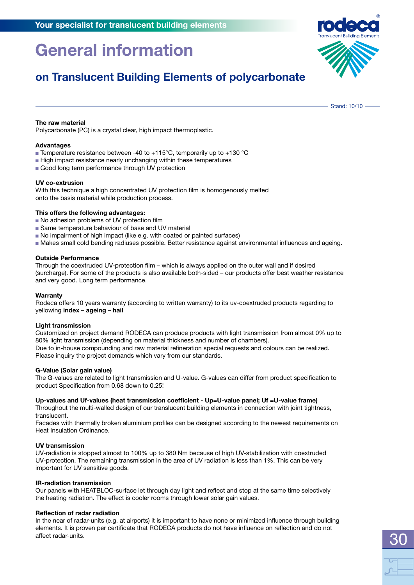Stand: 10/10

**on Translucent Building Elements of polycarbonate** 

**The raw material**

Polycarbonate (PC) is a crystal clear, high impact thermoplastic.

#### **Advantages**

- **Example 7** Temperature resistance between -40 to  $+115^{\circ}$ C, temporarily up to  $+130^{\circ}$ C
- High impact resistance nearly unchanging within these temperatures
- Good long term performance through UV protection

#### **UV co-extrusion**

With this technique a high concentrated UV protection film is homogenously melted onto the basis material while production process.

#### **This offers the following advantages:**

- **No adhesion problems of UV protection film**
- Same temperature behaviour of base and UV material
- <sup>n</sup> No impairment of high impact (like e.g. with coated or painted surfaces)
- <sup>n</sup> Makes small cold bending radiuses possible. Better resistance against environmental influences and ageing.

#### **Outside Performance**

Through the coextruded UV-protection film – which is always applied on the outer wall and if desired (surcharge). For some of the products is also available both-sided – our products offer best weather resistance and very good. Long term performance.

#### **Warranty**

Rodeca offers 10 years warranty (according to written warranty) to its uv-coextruded products regarding to yellowing **index – ageing – hail**

#### **Light transmission**

Customized on project demand Rodeca can produce products with light transmission from almost 0% up to 80% light transmission (depending on material thickness and number of chambers). Due to in-house compounding and raw material refineration special requests and colours can be realized. Please inquiry the project demands which vary from our standards.

#### **G-Value (Solar gain value)**

The G-values are related to light transmission and U-value. G-values can differ from product specification to product Specification from 0.68 down to 0.25!

#### **Up-values and Uf-values (heat transmission coefficient - Up=U-value panel; Uf =U-value frame)**

Throughout the multi-walled design of our translucent building elements in connection with joint tightness, translucent.

Facades with thermally broken aluminium profiles can be designed according to the newest requirements on Heat Insulation Ordinance.

#### **UV transmission**

UV-radiation is stopped almost to 100% up to 380 Nm because of high UV-stabilization with coextruded UV-protection. The remaining transmission in the area of UV radiation is less than 1%. This can be very important for UV sensitive goods.

#### **IR-radiation transmission**

Our panels with HEATBLOC-surface let through day light and reflect and stop at the same time selectively the heating radiation. The effect is cooler rooms through lower solar gain values.

#### **Reflection of radar radiation**

In the near of radar-units (e.g. at airports) it is important to have none or minimized influence through building elements. It is proven per certificate that RODECA products do not have influence on reflection and do not affect radar-units.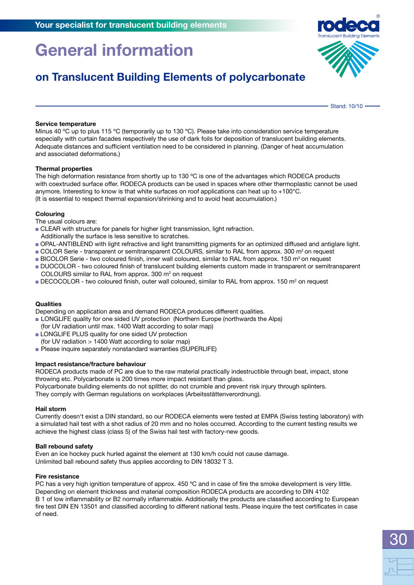## **on Translucent Building Elements of polycarbonate**

Stand: 10/10 -

#### **Service temperature**

Minus 40 °C up to plus 115 °C (temporarily up to 130 °C). Please take into consideration service temperature especially with curtain facades respectively the use of dark foils for deposition of translucent building elements. Adequate distances and sufficient ventilation need to be considered in planning. (Danger of heat accumulation and associated deformations.)

#### **Thermal properties**

The high deformation resistance from shortly up to 130 ºC is one of the advantages which RODECA products with coextruded surface offer. RODECA products can be used in spaces where other thermoplastic cannot be used anymore. Interesting to know is that white surfaces on roof applications can heat up to  $+100^{\circ}$ C. (It is essential to respect thermal expansion/shrinking and to avoid heat accumulation.)

#### **Colouring**

The usual colours are:

- **CLEAR with structure for panels for higher light transmission, light refraction.**
- Additionally the surface is less sensitive to scratches.
- <sup>n</sup> OPAL-ANTIBLEND with light refractive and light transmitting pigments for an optimized diffused and antiglare light.
- COLOR Serie transparent or semitransparent COLOURS, similar to RAL from approx. 300 m<sup>2</sup> on request
- **BICOLOR Serie two coloured finish, inner wall coloured, similar to RAL from approx. 150 m<sup>2</sup> on request**
- <sup>n</sup> DUOCOLOR two coloured finish of translucent building elements custom made in transparent or semitransparent COLOURS similar to RAL from approx. 300  $m<sup>2</sup>$  on request
- DECOCOLOR two coloured finish, outer wall coloured, similar to RAL from approx. 150 m<sup>2</sup> on request

#### **Qualities**

Depending on application area and demand RODECA produces different qualities.

- **DEDITE 19.5 LONGLIFE quality for one sided UV protection (Northern Europe (northwards the Alps)** (for UV radiation until max. 1400 Watt according to solar map)
- **LONGLIFE PLUS quality for one sided UV protection**
- (for UV radiation > 1400 Watt according to solar map)
- **Please inquire separately nonstandard warranties (SUPERLIFE)**

#### **Impact resistance/fracture behaviour**

RODECA products made of PC are due to the raw material practically indestructible through beat, impact, stone throwing etc. Polycarbonate is 200 times more impact resistant than glass.

Polycarbonate building elements do not splitter, do not crumble and prevent risk injury through splinters.

They comply with German regulations on workplaces (Arbeitsstättenverordnung).

#### **Hail storm**

Currently doesn't exist a DIN standard, so our RODECA elements were tested at EMPA (Swiss testing laboratory) with a simulated hail test with a shot radius of 20 mm and no holes occurred. According to the current testing results we achieve the highest class (class 5) of the Swiss hail test with factory-new goods.

#### **Ball rebound safety**

Even an ice hockey puck hurled against the element at 130 km/h could not cause damage. Unlimited ball rebound safety thus applies according to DIN 18032 T 3.

#### **Fire resistance**

PC has a very high ignition temperature of approx. 450 °C and in case of fire the smoke development is very little. Depending on element thickness and material composition RODECA products are according to DIN 4102 B 1 of low inflammability or B2 normally inflammable. Additionally the products are classified according to European fire test DIN EN 13501 and classified according to different national tests. Please inquire the test certificates in case of need.

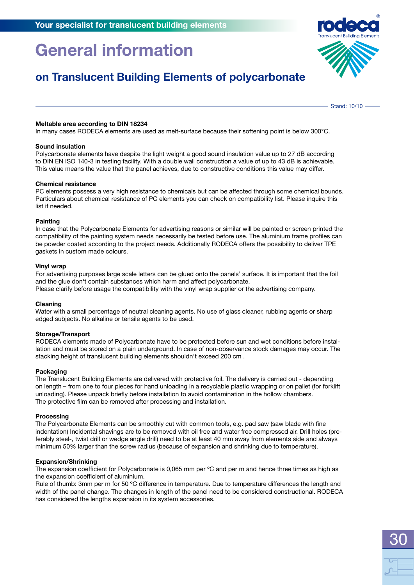### **on Translucent Building Elements of polycarbonate**

Stand: 10/10 -

#### **Meltable area according to DIN 18234**

In many cases RODECA elements are used as melt-surface because their softening point is below 300°C.

#### **Sound insulation**

Polycarbonate elements have despite the light weight a good sound insulation value up to 27 dB according to DIN EN ISO 140-3 in testing facility. With a double wall construction a value of up to 43 dB is achievable. This value means the value that the panel achieves, due to constructive conditions this value may differ.

#### **Chemical resistance**

PC elements possess a very high resistance to chemicals but can be affected through some chemical bounds. Particulars about chemical resistance of PC elements you can check on compatibility list. Please inquire this list if needed.

#### **Painting**

In case that the Polycarbonate Elements for advertising reasons or similar will be painted or screen printed the compatibility of the painting system needs necessarily be tested before use. The aluminium frame profiles can be powder coated according to the project needs. Additionally RODECA offers the possibility to deliver TPE gaskets in custom made colours.

#### **Vinyl wrap**

For advertising purposes large scale letters can be glued onto the panels' surface. It is important that the foil and the glue don't contain substances which harm and affect polycarbonate.

Please clarify before usage the compatibility with the vinyl wrap supplier or the advertising company.

#### **Cleaning**

Water with a small percentage of neutral cleaning agents. No use of glass cleaner, rubbing agents or sharp edged subjects. No alkaline or tensile agents to be used.

#### **Storage/Transport**

RODECA elements made of Polycarbonate have to be protected before sun and wet conditions before installation and must be stored on a plain underground. In case of non-observance stock damages may occur. The stacking height of translucent building elements shouldn't exceed 200 cm .

#### **Packaging**

The Translucent Building Elements are delivered with protective foil. The delivery is carried out - depending on length – from one to four pieces for hand unloading in a recyclable plastic wrapping or on pallet (for forklift unloading). Please unpack briefly before installation to avoid contamination in the hollow chambers. The protective film can be removed after processing and installation.

#### **Processing**

The Polycarbonate Elements can be smoothly cut with common tools, e.g. pad saw (saw blade with fine indentation) Incidental shavings are to be removed with oil free and water free compressed air. Drill holes (preferably steel-, twist drill or wedge angle drill) need to be at least 40 mm away from elements side and always minimum 50% larger than the screw radius (because of expansion and shrinking due to temperature).

#### **Expansion/Shrinking**

The expansion coefficient for Polycarbonate is 0,065 mm per °C and per m and hence three times as high as the expansion coefficient of aluminium.

Rule of thumb: 3mm per m for 50 °C difference in temperature. Due to temperature differences the length and width of the panel change. The changes in length of the panel need to be considered constructional. RODECA has considered the lengths expansion in its system accessories.

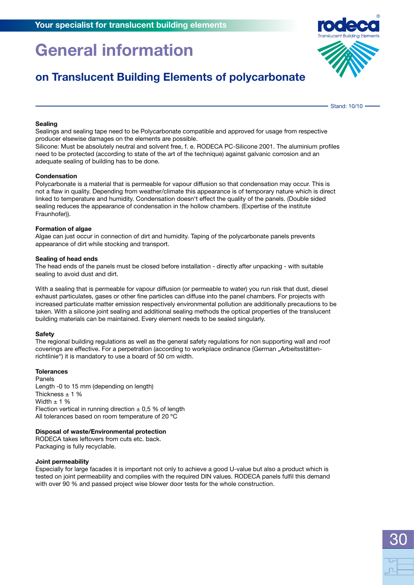### **on Translucent Building Elements of polycarbonate**

Stand: 10/10 -

30

#### **Sealing**

Sealings and sealing tape need to be Polycarbonate compatible and approved for usage from respective producer elsewise damages on the elements are possible.

Silicone: Must be absolutely neutral and solvent free, f. e. RODECA PC-Silicone 2001. The aluminium profiles need to be protected (according to state of the art of the technique) against galvanic corrosion and an adequate sealing of building has to be done.

#### **Condensation**

Polycarbonate is a material that is permeable for vapour diffusion so that condensation may occur. This is not a flaw in quality. Depending from weather/climate this appearance is of temporary nature which is direct linked to temperature and humidity. Condensation doesn't effect the quality of the panels. (Double sided sealing reduces the appearance of condensation in the hollow chambers. (Expertise of the institute Fraunhofer)).

#### **Formation of algae**

Algae can just occur in connection of dirt and humidity. Taping of the polycarbonate panels prevents appearance of dirt while stocking and transport.

#### **Sealing of head ends**

The head ends of the panels must be closed before installation - directly after unpacking - with suitable sealing to avoid dust and dirt.

With a sealing that is permeable for vapour diffusion (or permeable to water) you run risk that dust, diesel exhaust particulates, gases or other fine particles can diffuse into the panel chambers. For projects with increased particulate matter emission respectively environmental pollution are additionally precautions to be taken. With a silicone joint sealing and additional sealing methods the optical properties of the translucent building materials can be maintained. Every element needs to be sealed singularly.

#### **Safety**

The regional building regulations as well as the general safety regulations for non supporting wall and roof coverings are effective. For a perpetration (according to workplace ordinance (German "Arbeitsstättenrichtlinie") it is mandatory to use a board of 50 cm width.

#### **Tolerances**

Panels Length -0 to 15 mm (depending on length) Thickness  $\pm$  1 % Width  $\pm$  1 % Flection vertical in running direction  $\pm$  0,5 % of length All tolerances based on room temperature of 20 ºC

#### **Disposal of waste/Environmental protection**

RODECA takes leftovers from cuts etc. back. Packaging is fully recyclable.

#### **Joint permeability**

Especially for large facades it is important not only to achieve a good U-value but also a product which is tested on joint permeability and complies with the required DIN values. RODECA panels fulfil this demand with over 90 % and passed project wise blower door tests for the whole construction.

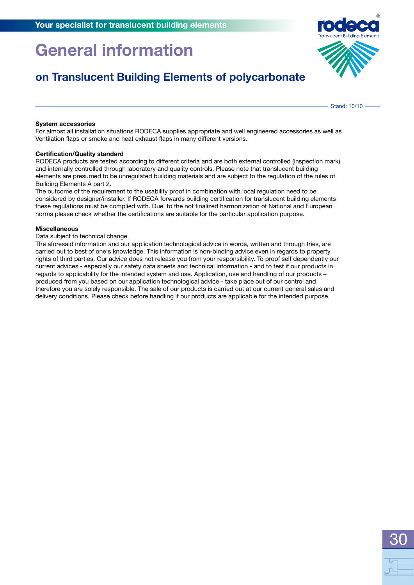## **on Translucent Building Elements of polycarbonate**

#### **System accessories**

For almost all installation situations RODECA supplies appropriate and well engineered accessories as well as Ventilation flaps or smoke and heat exhaust flaps in many different versions.

#### **Certification/Quality standard**

RODECA products are tested according to different criteria and are both external controlled (inspection mark) and internally controlled through laboratory and quality controls. Please note that translucent building elements are presumed to be unregulated building materials and are subject to the regulation of the rules of Building Elements A part 2.

The outcome of the requirement to the usability proof in combination with local regulation need to be considered by designer/installer. If RODECA forwards building certification for translucent building elements these regulations must be complied with. Due to the not finalized harmonization of National and European norms please check whether the certifications are suitable for the particular application purpose.

#### **Miscellaneous**

Data subject to technical change.

The aforesaid information and our application technological advice in words, written and through tries, are carried out to best of one's knowledge. This information is non-binding advice even in regards to property rights of third parties. Our advice does not release you from your responsibility. To proof self dependently our current advices - especially our safety data sheets and technical information - and to test if our products in regards to applicability for the intended system and use. Application, use and handling of our products – produced from you based on our application technological advice - take place out of our control and therefore you are solely responsible. The sale of our products is carried out at our current general sales and delivery conditions. Please check before handling if our products are applicable for the intended purpose.



Stand: 10/10 -

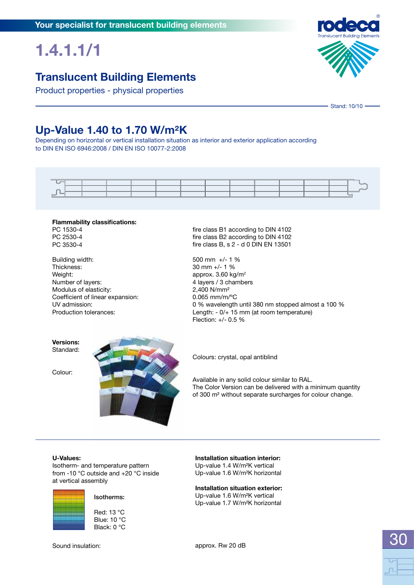## **1.4.1.1/1**

### **Translucent Building Elements**

Product properties - physical properties



### **Up-Value 1.40 to 1.70 W/m²K**

Depending on horizontal or vertical installation situation as interior and exterior application according to DIN EN ISO 6946:2008 / DIN EN ISO 10077-2:2008



#### **Flammability classifications:** PC 1530-4 PC 2530-4

PC 3530-4

Building width: Thickness: Weight: Number of layers: Modulus of elasticity: Coefficient of linear expansion: UV admission: Production tolerances:

fire class B1 according to DIN 4102 fire class B2 according to DIN 4102 fire class B, s 2 - d 0 DIN EN 13501

500 mm +/- 1 % 30 mm +/- 1 % approx.  $3.60 \text{ kg/m}^2$ 4 layers / 3 chambers 2,400 N/mm² 0.065 mm/m/ºC 0 % wavelength until 380 nm stopped almost a 100 % Length: - 0/+ 15 mm (at room temperature) Flection: +/- 0.5 %

**Versions:** Standard:

Colour:



Colours: crystal, opal antiblind

Available in any solid colour similar to RAL. The Color Version can be delivered with a minimum quantity of 300 m² without separate surcharges for colour change.

#### **U-Values:**

Isotherm- and temperature pattern from -10 °C outside and +20 °C inside at vertical assembly



#### Isotherms:

Red: 13 °C Blue: 10 °C Black: 0 °C

**Installation situation interior:** Up-value 1.4 W/m²K vertical Up-value 1.6 W/m²K horizontal

**Installation situation exterior:** Up-value 1.6 W/m²K vertical Up-value 1.7 W/m²K horizontal

approx. Rw 20 dB



Sound insulation:

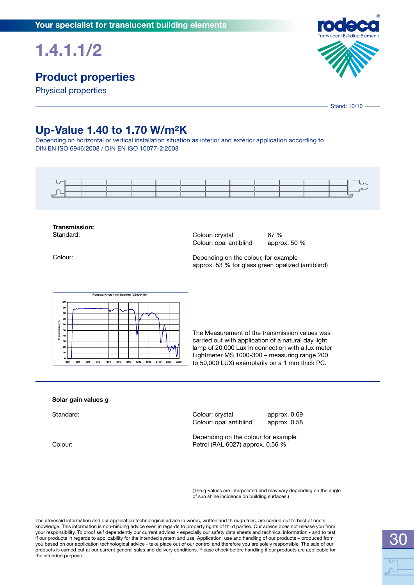## **1.4.1.1/2**

## **Product properties**

Physical properties



## **Up-Value 1.40 to 1.70 W/m²K**

Depending on horizontal or vertical installation situation as interior and exterior application according to DIN EN ISO 6946:2008 / DIN EN ISO 10077-2:2008



**Transmission:** Standard:

Colour: crystal 67 %<br>Colour: opal antiblind approx. 50 % Colour: opal antiblind

Colour:

Depending on the colour, for example approx. 53 % for glass green opalized (antiblind)



The Measurement of the transmission values was carried out with application of a natural day light lamp of 20,000 Lux in connection with a lux meter Lightmeter MS 1000-300 – measuring range 200 to 50,000 LUX) exemplarily on a 1 mm thick PC.

#### **Solar gain values g**

Standard:

Colour:

Colour: crystal approx. 0.69 Colour: opal antiblind approx. 0.58

Depending on the colour for example Petrol (RAL 6027) approx. 0.56 %

(The g-values are interpolated and may vary depending on the angle of sun shine incidence on building surfaces.)

The aforesaid information and our application technological advice in words, written and through tries, are carried out to best of one's knowledge. This information is non-binding advice even in regards to property rights of third parties. Our advice does not release you from your responsibility. To proof self dependently our current advices - especially our safety data sheets and technical information - and to test if our products in regards to applicability for the intended system and use. Application, use and handling of our products – produced from you based on our application technological advice - take place out of our control and therefore you are solely responsible. The sale of our products is carried out at our current general sales and delivery conditions. Please check before handling if our products are applicable for the intended purpose.



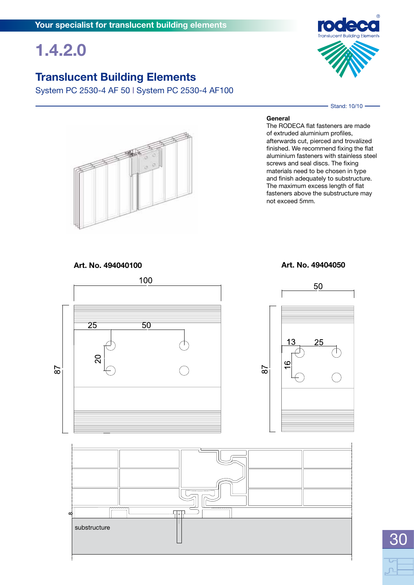## **1.4.2.0**

### **Translucent Building Elements**

System PC 2530-4 AF 50 **|** System PC 2530-4 AF100



Stand: 10/10 -



#### **General**

The RODECA flat fasteners are made of extruded aluminium profiles, afterwards cut, pierced and trovalized finished. We recommend fixing the flat aluminium fasteners with stainless steel screws and seal discs. The fixing materials need to be chosen in type and finish adequately to substructure. The maximum excess length of flat fasteners above the substructure may not exceed 5mm.

**Art. No. 494040100 Art. No. 49404050**



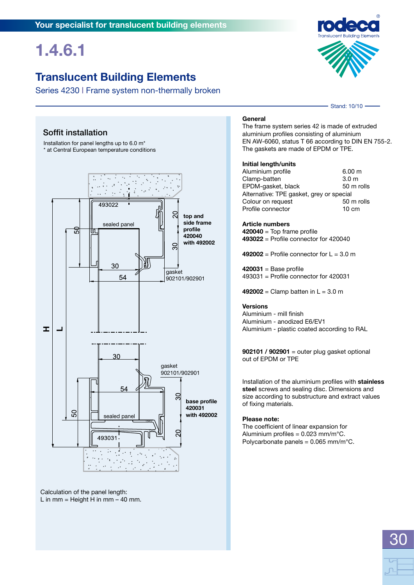## **1.4.6.1**

## **Translucent Building Elements**

Series 4230 **|** Frame system non-thermally broken



Stand: 10/10 -

### Soffit installation

Installation for panel lengths up to 6.0 m\* \* at Central European temperature conditions



Calculation of the panel length: L in mm = Height H in mm  $-$  40 mm.

#### **General**

The frame system series 42 is made of extruded aluminium profiles consisting of aluminium EN AW-6060, status T 66 according to DIN EN 755-2. The gaskets are made of EPDM or TPE.

#### **Initial length/units**

| 6.00 m                                   |
|------------------------------------------|
| 3.0 <sub>m</sub>                         |
| 50 m rolls                               |
| Alternative: TPE gasket, grey or special |
| 50 m rolls                               |
| $10 \text{ cm}$                          |
|                                          |

#### **Article numbers**

**420040** = Top frame profile **493022** = Profile connector for 420040

 $492002$  = Profile connector for  $L = 3.0$  m

**420031** = Base profile 493031 = Profile connector for 420031

**492002** = Clamp batten in  $L = 3.0$  m

#### **Versions**

Aluminium - mill finish Aluminium - anodized E6/EV1 Aluminium - plastic coated according to RAL

**902101 / 902901** = outer plug gasket optional out of EPDM or TPE

Installation of the aluminium profiles with **stainless steel** screws and sealing disc. Dimensions and size according to substructure and extract values of fixing materials.

#### **Please note:**

The coefficient of linear expansion for Aluminium profiles =  $0.023$  mm/m $^{\circ}$ C. Polycarbonate panels =  $0.065$  mm/m $^{\circ}$ C.

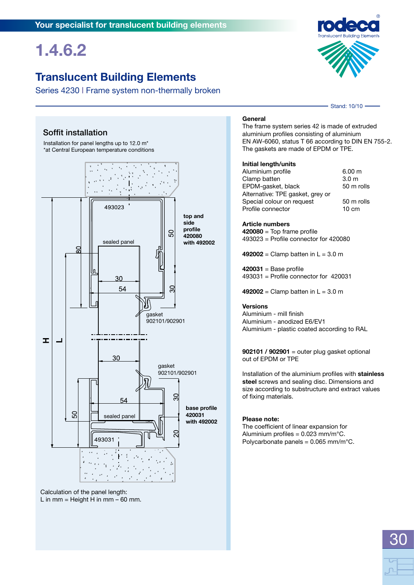## **1.4.6.2**

## **Translucent Building Elements**

Series 4230 **|** Frame system non-thermally broken



Stand: 10/10 -

### Soffit installation

Installation for panel lengths up to 12.0 m\* \*at Central European temperature conditions



Calculation of the panel length: L in mm = Height H in mm  $-60$  mm.

#### **General**

The frame system series 42 is made of extruded aluminium profiles consisting of aluminium EN AW-6060, status T 66 according to DIN EN 755-2. The gaskets are made of EPDM or TPE.

#### **Initial length/units**

| Aluminium profile                | 6.00 m           |
|----------------------------------|------------------|
| Clamp batten                     | 3.0 <sub>m</sub> |
| EPDM-gasket, black               | 50 m rolls       |
| Alternative: TPE gasket, grey or |                  |
| Special colour on request        | 50 m rolls       |
| Profile connector                | $10 \text{ cm}$  |

**Article numbers**

**420080** = Top frame profile 493023 = Profile connector for 420080

 $492002 =$  Clamp batten in  $L = 3.0$  m

**420031** = Base profile 493031 = Profile connector for 420031

**492002** = Clamp batten in  $L = 3.0$  m

#### **Versions**

Aluminium - mill finish Aluminium - anodized E6/EV1 Aluminium - plastic coated according to RAL

**902101 / 902901** = outer plug gasket optional out of EPDM or TPE

Installation of the aluminium profiles with **stainless steel** screws and sealing disc. Dimensions and size according to substructure and extract values of fixing materials.

#### **Please note:**

The coefficient of linear expansion for Aluminium profiles =  $0.023$  mm/m $^{\circ}$ C. Polycarbonate panels =  $0.065$  mm/m $^{\circ}$ C.

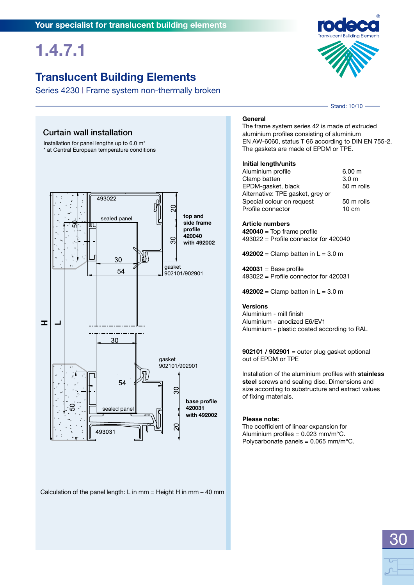## **1.4.7.1**

## **Translucent Building Elements**

Series 4230 **|** Frame system non-thermally broken

Stand: 10/10 -

### Curtain wall installation

Installation for panel lengths up to 6.0 m\* \* at Central European temperature conditions



Calculation of the panel length: L in mm = Height H in mm – 40 mm

#### **General**

The frame system series 42 is made of extruded aluminium profiles consisting of aluminium EN AW-6060, status T 66 according to DIN EN 755-2. The gaskets are made of EPDM or TPE.

#### **Initial length/units**

| Aluminium profile                | 6.00 m           |
|----------------------------------|------------------|
| Clamp batten                     | 3.0 <sub>m</sub> |
| EPDM-gasket, black               | 50 m rolls       |
| Alternative: TPE gasket, grey or |                  |
| Special colour on request        | 50 m rolls       |
| Profile connector                | $10 \text{ cm}$  |
|                                  |                  |

#### **Article numbers**

**420040** = Top frame profile 493022 = Profile connector for 420040

 $492002 =$  Clamp batten in  $L = 3.0$  m

**420031** = Base profile 493022 = Profile connector for 420031

**492002** = Clamp batten in  $L = 3.0$  m

#### **Versions**

Aluminium - mill finish Aluminium - anodized E6/EV1 Aluminium - plastic coated according to RAL

**902101 / 902901** = outer plug gasket optional out of EPDM or TPE

Installation of the aluminium profiles with **stainless steel** screws and sealing disc. Dimensions and size according to substructure and extract values of fixing materials.

#### **Please note:**

The coefficient of linear expansion for Aluminium profiles =  $0.023$  mm/m $^{\circ}$ C. Polycarbonate panels =  $0.065$  mm/m $^{\circ}$ C.

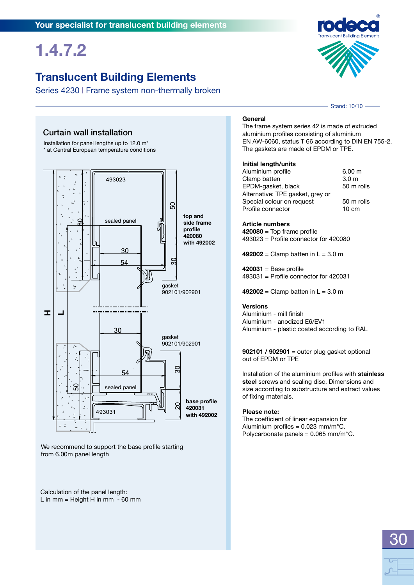## **1.4.7.2**

### **Translucent Building Elements**

Series 4230 **|** Frame system non-thermally broken

### Curtain wall installation

Installation for panel lengths up to 12.0 m\* \* at Central European temperature conditions



We recommend to support the base profile starting from 6.00m panel length

Calculation of the panel length: L in mm = Height H in mm - 60 mm

#### **General**

The frame system series 42 is made of extruded aluminium profiles consisting of aluminium EN AW-6060, status T 66 according to DIN EN 755-2. The gaskets are made of EPDM or TPE.

#### **Initial length/units**

| 6.00 m           |
|------------------|
| 3.0 <sub>m</sub> |
| 50 m rolls       |
|                  |
| 50 m rolls       |
| $10 \text{ cm}$  |
|                  |

**Article numbers**

**420080** = Top frame profile 493023 = Profile connector for 420080

 $492002 =$  Clamp batten in  $L = 3.0$  m

**420031** = Base profile 493031 = Profile connector for 420031

**492002** = Clamp batten in  $L = 3.0$  m

#### **Versions**

Aluminium - mill finish Aluminium - anodized E6/EV1 Aluminium - plastic coated according to RAL

**902101 / 902901** = outer plug gasket optional out of EPDM or TPE

Installation of the aluminium profiles with **stainless steel** screws and sealing disc. Dimensions and size according to substructure and extract values of fixing materials.

#### **Please note:**

The coefficient of linear expansion for Aluminium profiles =  $0.023$  mm/m $^{\circ}$ C. Polycarbonate panels =  $0.065$  mm/m $^{\circ}$ C.



Stand: 10/10 -

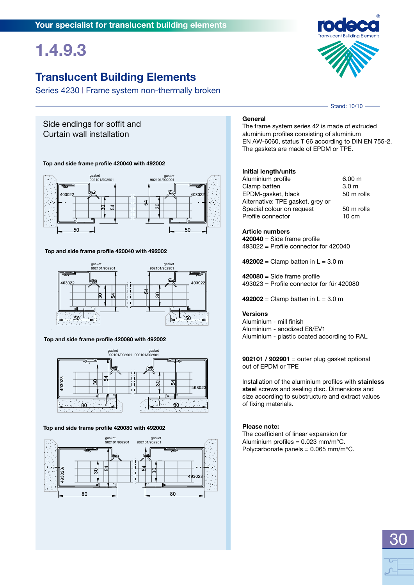## **1.4.9.3**

### **Translucent Building Elements**

Series 4230 **|** Frame system non-thermally broken

### Side endings for soffit and Curtain wall installation



**Top and side frame profile 420040 with 492002**

**Top and side frame profile 420040 with 492002**



**Top and side frame profile 420080 with 492002**



#### **Top and side frame profile 420080 with 492002**



#### **General**

The frame system series 42 is made of extruded aluminium profiles consisting of aluminium EN AW-6060, status T 66 according to DIN EN 755-2. The gaskets are made of EPDM or TPE.

#### **Initial length/units**

| 6.00 m           |
|------------------|
| 3.0 <sub>m</sub> |
| 50 m rolls       |
|                  |
| 50 m rolls       |
| $10 \text{ cm}$  |
|                  |

#### **Article numbers**

**420040** = Side frame profile 493022 = Profile connector for 420040

**492002** = Clamp batten in  $L = 3.0$  m

**420080** = Side frame profile 493023 = Profile connector for für 420080

**492002** = Clamp batten in  $L = 3.0$  m

#### **Versions**

Aluminium - mill finish Aluminium - anodized E6/EV1 Aluminium - plastic coated according to RAL

**902101 / 902901** = outer plug gasket optional out of EPDM or TPE

Installation of the aluminium profiles with **stainless steel** screws and sealing disc. Dimensions and size according to substructure and extract values of fixing materials.

30

#### **Please note:**

The coefficient of linear expansion for Aluminium profiles =  $0.023$  mm/m $^{\circ}$ C. Polycarbonate panels =  $0.065$  mm/m $^{\circ}$ C.



Stand: 10/10 -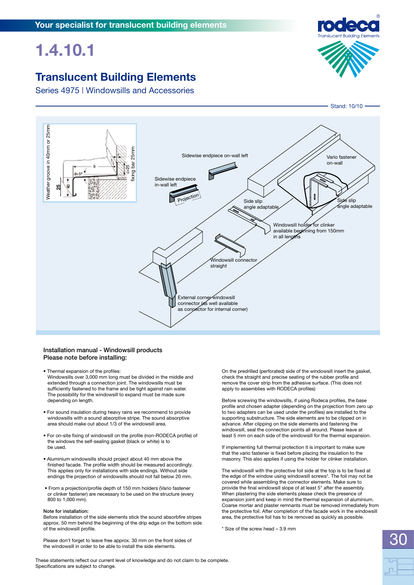### **Translucent Building Elements**

Series 4975 **|** Windowsills and Accessories





#### Installation manual - Windowsill products Please note before installing:

- Thermal expansion of the profiles: Windowsills over 3,000 mm long must be divided in the middle and extended through a connection joint. The windowsills must be sufficiently fastened to the frame and be tight against rain water. The possibility for the windowsill to expand must be made sure depending on length.
- For sound insulation during heavy rains we recommend to provide windowsills with a sound absorptive stripe. The sound absorptive area should make out about 1/3 of the windowsill area.
- For on-site fixing of windowsill on the profile (non-RODECA profile) of the windows the self-sealing gasket (black or white) is to be used.
- Aluminium windowsills should project about 40 mm above the finished facade. The profile width should be measured accordingly. This applies only for installations with side endings. Without side endings the projection of windowsills should not fall below 20 mm.
- From a projection/profile depth of 150 mm holders (Vario fastener or clinker fastener) are necessary to be used on the structure (every 800 to 1,000 mm).

#### Note for installation:

Before installation of the side elements stick the sound absorbfire stripes approx. 50 mm behind the beginning of the drip edge on the bottom side of the windowsill profile.

Please don't forget to leave free approx. 30 mm on the front sides of the windowsill in order to be able to install the side elements.

On the predrilled (perforated) side of the windowsill insert the gasket, check the straight and precise seating of the rubber profile and remove the cover strip from the adhesive surface. (This does not apply to assemblies with RODECA profiles)

Before screwing the windowsills, if using Rodeca profiles, the base profile and chosen adapter (depending on the projection from zero up to two adapters can be used under the profiles) are installed to the supporting substructure. The side elements are to be clipped on in advance. After clipping on the side elements and fastening the windowsill, seal the connection points all around. Please leave at least 5 mm on each side of the windowsill for the thermal expansion.

If implementing full thermal protection it is important to make sure that the vario fastener is fixed before placing the insulation to the masonry. This also applies if using the holder for clinker installation.

The windowsill with the protective foil side at the top is to be fixed at the edge of the window using windowsill screws\*. The foil may not be covered while assembling the connector elements. Make sure to provide the final windowsill slope of at least 5° after the assembly. When plastering the side elements please check the presence of expansion joint and keep in mind the thermal expansion of aluminium. Coarse mortar and plaster remnants must be removed immediately from the protective foil. After completion of the facade work in the windowsill area, the protective foil has to be removed as quickly as possible.

\* Size of the screw head – 3.9 mm

These statements reflect our current level of knowledge and do not claim to be complete. Specifications are subject to change.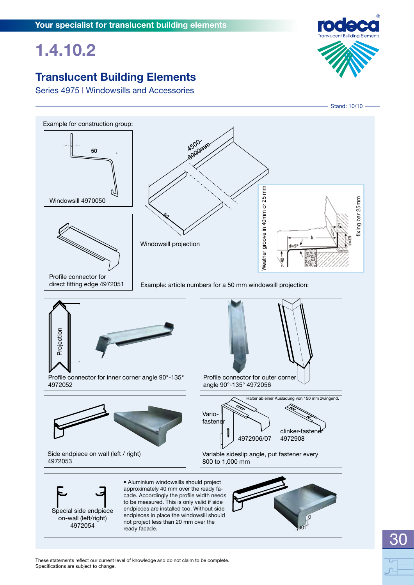## **Translucent Building Elements**

Series 4975 **|** Windowsills and Accessories



30



These statements reflect our current level of knowledge and do not claim to be complete. Specifications are subject to change.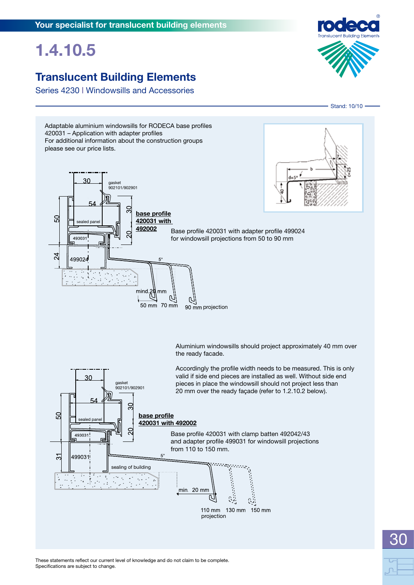## **Translucent Building Elements**

Series 4230 **|** Windowsills and Accessories





These statements reflect our current level of knowledge and do not claim to be complete. Specifications are subject to change.

# 30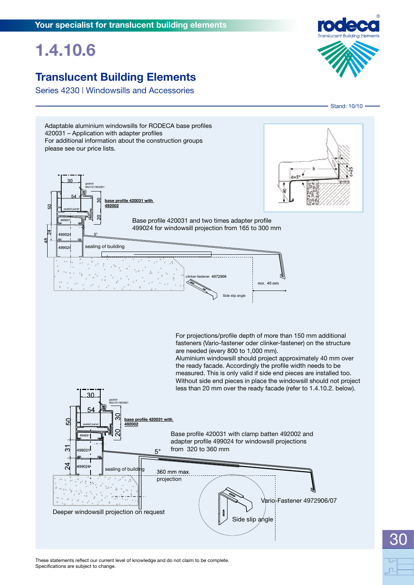## **Translucent Building Elements**

Series 4230 **|** Windowsills and Accessories





30

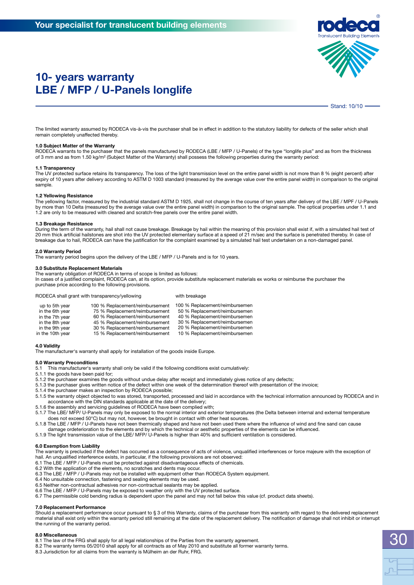

Stand: 10/10

The limited warranty assumed by RODECA vis-à-vis the purchaser shall be in effect in addition to the statutory liability for defects of the seller which shall remain completely unaffected thereby.

#### **1.0 Subject Matter of the Warranty**

RODECA warrants to the purchaser that the panels manufactured by RODECA (LBE / MFP / U-Panels) of the type "longlife plus" and as from the thickness of 3 mm and as from 1.50 kg/m² (Subject Matter of the Warranty) shall possess the following properties during the warranty period:

#### **1.1 Transparency**

The UV protected surface retains its transparency. The loss of the light transmission level on the entire panel width is not more than 8 % (eight percent) after expiry of 10 years after delivery according to ASTM D 1003 standard (measured by the average value over the entire panel width) in comparison to the original sample.

#### **1.2 Yellowing Resistance**

The yellowing factor, measured by the industrial standard ASTM D 1925, shall not change in the course of ten years after delivery of the LBE / MPF / U-Panels by more than 10 Delta (measured by the average value over the entire panel width) in comparison to the original sample. The optical properties under 1.1 and 1.2 are only to be measured with cleaned and scratch-free panels over the entire panel width.

#### **1.3 Breakage Resistance**

During the term of the warranty, hail shall not cause breakage. Breakage by hail within the meaning of this provision shall exist if, with a simulated hail test of 20 mm thick artificial hailstones are shot into the UV protected elementary surface at a speed of 21 m/sec and the surface is penetrated thereby. In case of breakage due to hail, RODECA can have the justification for the complaint examined by a simulated hail test undertaken on a non-damaged panel.

#### **2.0 Warranty Period**

The warranty period begins upon the delivery of the LBE / MFP / U-Panels and is for 10 years.

#### **3.0 Substitute Replacement Materials**

The warranty obligation of RODECA in terms of scope is limited as follows: In cases of a justified complaint, RODECA can, at its option, provide substitute replacement materials ex works or reimburse the purchaser the purchase price according to the following provisions.

RODECA shall grant with transparency/yellowing with breakage

| up to 5th year   | 100 % Replacement/reimbursement | 100 % Replacement/reimbursemen |
|------------------|---------------------------------|--------------------------------|
| in the 6th year  | 75 % Replacement/reimbursement  | 50 % Replacement/reimbursemen  |
| in the 7th year  | 60 % Replacement/reimbursement  | 40 % Replacement/reimbursemen  |
| in the 8th year  | 45 % Replacement/reimbursement  | 30 % Replacement/reimbursemen  |
| in the 9th year  | 30 % Replacement/reimbursement  | 20 % Replacement/reimbursemen  |
| in the 10th year | 15 % Replacement/reimbursement  | 10 % Replacement/reimbursemen  |

#### **4.0 Validity**

The manufacturer's warranty shall apply for installation of the goods inside Europe.

- **5.0 Warranty Preconditions** This manufacturer's warranty shall only be valid if the following conditions exist cumulatively:
- 5.1.1 the goods have been paid for;
- 5.1.2 the purchaser examines the goods without undue delay after receipt and immediately gives notice of any defects;
- 5.1.3 the purchaser gives written notice of the defect within one week of the determination thereof with presentation of the invoice;
- 5.1.4 the purchaser makes an inspection by RODECA possible;
- 5.1.5 the warranty object objected to was stored, transported, processed and laid in accordance with the technical information announced by RODECA and in accordance with the DIN standards applicable at the date of the delivery;
- 5.1.6 the assembly and servicing guidelines of RODECA have been complied with;
- 5.1.7 The LBE/ MFP/ U-Panels may only be exposed to the normal interior and exterior temperatures (the Delta between internal and external temperature does not exceed 50°C) but may not, however, be brought in contact with other heat sources.
- 5.1.8 The LBE / MFP / U-Panels have not been thermically shaped and have not been used there where the influence of wind and fine sand can cause
- damage ordeterioration to the elements and by which the technical or aesthetic properties of the elements can be influenced. 5.1.9 The light transmission value of the LBE/ MFP/ U-Panels is higher than 40% and sufficient ventilation is considered.

#### **6.0 Exemption from Liability**

The warranty is precluded if the defect has occurred as a consequence of acts of violence, unqualified interferences or force majeure with the exception of hail. An unqualified interference exists, in particular, if the following provisions are not observed:

- 6.1 The LBE / MFP / U-Panels must be protected against disadvantageous effects of chemicals.
- 6.2 With the application of the elements, no scratches and dents may occur.
- 6.3 The LBE / MFP / U-Panels may not be installed with equipment other than RODECA System equipment.
- 6.4 No unsuitable connection, fastening and sealing elements may be used. 6.5 Neither non-contractual adhesives nor non-contractual sealants may be applied.
- 6.6 The LBE / MFP / U-Panels may be exposed to weather only with the UV protected surface.
- 6.7 The permissible cold bending radius is dependent upon the panel and may not fall below this value (cf. product data sheets).

#### **7.0 Replacement Performance**

Should a replacement performance occur pursuant to § 3 of this Warranty, claims of the purchaser from this warranty with regard to the delivered replacement material shall exist only within the warranty period still remaining at the date of the replacement delivery. The notification of damage shall not inhibit or interrupt the running of the warranty period.

#### **8.0 Miscellaneous**

8.1 The law of the FRG shall apply for all legal relationships of the Parties from the warranty agreement.

8.2 The warranty terms 05/2010 shall apply for all contracts as of May 2010 and substitute all former warranty terms.

8.3 Jurisdiction for all claims from the warranty is Mülheim an der Ruhr, FRG.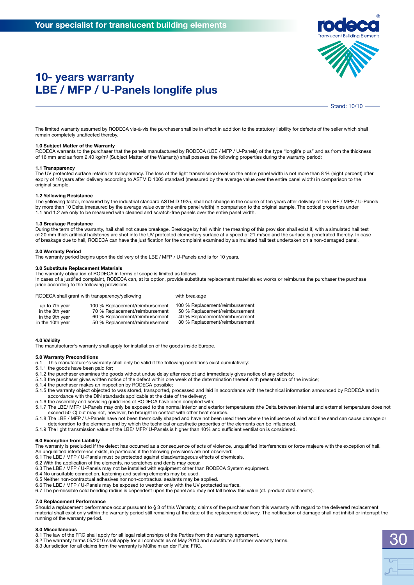

### **10- years warranty LBE / MFP / U-Panels longlife plus**

Stand: 10/10

The limited warranty assumed by RODECA vis-à-vis the purchaser shall be in effect in addition to the statutory liability for defects of the seller which shall remain completely unaffected thereby.

#### **1.0 Subject Matter of the Warranty**

RODECA warrants to the purchaser that the panels manufactured by RODECA (LBE / MFP / U-Panels) of the type "longlife plus" and as from the thickness of 16 mm and as from 2,40 kg/m² (Subject Matter of the Warranty) shall possess the following properties during the warranty period:

#### **1.1 Transparency**

The UV protected surface retains its transparency. The loss of the light transmission level on the entire panel width is not more than 8 % (eight percent) after expiry of 10 years after delivery according to ASTM D 1003 standard (measured by the average value over the entire panel width) in comparison to the original sample.

#### **1.2 Yellowing Resistance**

The yellowing factor, measured by the industrial standard ASTM D 1925, shall not change in the course of ten years after delivery of the LBE / MPF / U-Panels by more than 10 Delta (measured by the average value over the entire panel width) in comparison to the original sample. The optical properties under 1.1 and 1.2 are only to be measured with cleaned and scratch-free panels over the entire panel width.

#### **1.3 Breakage Resistance**

During the term of the warranty, hail shall not cause breakage. Breakage by hail within the meaning of this provision shall exist if, with a simulated hail test of 20 mm thick artificial hailstones are shot into the UV protected elementary surface at a speed of 21 m/sec and the surface is penetrated thereby. In case of breakage due to hail, RODECA can have the justification for the complaint examined by a simulated hail test undertaken on a non-damaged panel.

#### **2.0 Warranty Period**

The warranty period begins upon the delivery of the LBE / MFP / U-Panels and is for 10 years.

#### **3.0 Substitute Replacement Materials**

The warranty obligation of RODECA in terms of scope is limited as follows:

In cases of a justified complaint, RODECA can, at its option, provide substitute replacement materials ex works or reimburse the purchaser the purchase price according to the following provisions.

RODECA shall grant with transparency/yellowing with breakage

| up to 7th year   | 100 % Replacement/reimbursement | 100 % Replacement/reimbursement |
|------------------|---------------------------------|---------------------------------|
| in the 8th year  | 70 % Replacement/reimbursement  | 50 % Replacement/reimbursement  |
| in the 9th year  | 60 % Replacement/reimbursement  | 40 % Replacement/reimbursement  |
| in the 10th year | 50 % Replacement/reimbursement  | 30 % Replacement/reimbursement  |

#### **4.0 Validity**

The manufacturer's warranty shall apply for installation of the goods inside Europe.

#### **5.0 Warranty Preconditions**

5.1 This manufacturer's warranty shall only be valid if the following conditions exist cumulatively:

- 5.1.1 the goods have been paid for;
- 5.1.2 the purchaser examines the goods without undue delay after receipt and immediately gives notice of any defects;
- 5.1.3 the purchaser gives written notice of the defect within one week of the determination thereof with presentation of the invoice;
- 5.1.4 the purchaser makes an inspection by RODECA possible;
- 5.1.5 the warranty object objected to was stored, transported, processed and laid in accordance with the technical information announced by RODECA and in accordance with the DIN standards applicable at the date of the delivery;
- 5.1.6 the assembly and servicing guidelines of RODECA have been complied with;
- 5.1.7 The LBE/ MFP/ U-Panels may only be exposed to the normal interior and exterior temperatures (the Delta between internal and external temperature does not exceed 50°C) but may not, however, be brought in contact with other heat sources.
- 5.1.8 The LBE / MFP / U-Panels have not been thermically shaped and have not been used there where the influence of wind and fine sand can cause damage or deterioration to the elements and by which the technical or aesthetic properties of the elements can be influenced.
- 5.1.9 The light transmission value of the LBE/ MFP/ U-Panels is higher than 40% and sufficient ventilation is considered.

#### **6.0 Exemption from Liability**

The warranty is precluded if the defect has occurred as a consequence of acts of violence, unqualified interferences or force majeure with the exception of hail. An unqualified interference exists, in particular, if the following provisions are not observed:

- 6.1 The LBE / MFP / U-Panels must be protected against disadvantageous effects of chemicals.
- 6.2 With the application of the elements, no scratches and dents may occur.
- 6.3 The LBE / MFP / U-Panels may not be installed with equipment other than RODECA System equipment.
- 6.4 No unsuitable connection, fastening and sealing elements may be used.
- 6.5 Neither non-contractual adhesives nor non-contractual sealants may be applied.
- 6.6 The LBE / MFP / U-Panels may be exposed to weather only with the UV protected surface.
- 6.7 The permissible cold bending radius is dependent upon the panel and may not fall below this value (cf. product data sheets).

#### **7.0 Replacement Performance**

Should a replacement performance occur pursuant to § 3 of this Warranty, claims of the purchaser from this warranty with regard to the delivered replacement material shall exist only within the warranty period still remaining at the date of the replacement delivery. The notification of damage shall not inhibit or interrupt the running of the warranty period.

#### **8.0 Miscellaneous**

- 8.1 The law of the FRG shall apply for all legal relationships of the Parties from the warranty agreement.
- 8.2 The warranty terms 05/2010 shall apply for all contracts as of May 2010 and substitute all former warranty terms.
- 8.3 Jurisdiction for all claims from the warranty is Mülheim an der Ruhr, FRG.